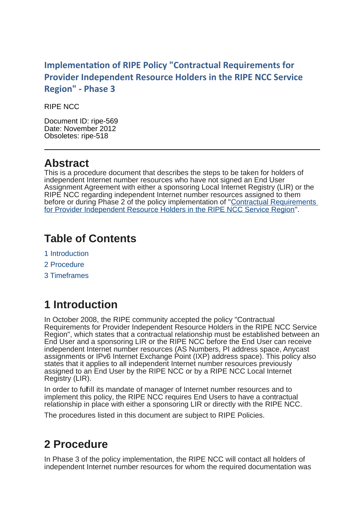#### **Implementation of RIPE Policy "Contractual Requirements for Provider Independent Resource Holders in the RIPE NCC Service Region" - Phase 3**

RIPE NCC

Document ID: ripe-569 Date: November 2012 Obsoletes: ripe-518

### **Abstract**

This is a procedure document that describes the steps to be taken for holders of independent Internet number resources who have not signed an End User Assignment Agreement with either a sponsoring Local Internet Registry (LIR) or the RIPE NCC regarding independent Internet number resources assigned to them before or during Phase 2 of the policy implementation of ["Contractual Requirements](http://www.ripe.net/ripe/docs/contract-req) [for Provider Independent Resource Holders in the RIPE NCC Service Region"](http://www.ripe.net/ripe/docs/contract-req).

## **Table of Contents**

- 1 Introduction
- 2 Procedure
- 3 Timeframes

# **1 Introduction**

In October 2008, the RIPE community accepted the policy "Contractual Requirements for Provider Independent Resource Holders in the RIPE NCC Service Region", which states that a contractual relationship must be established between an End User and a sponsoring LIR or the RIPE NCC before the End User can receive independent Internet number resources (AS Numbers, PI address space, Anycast assignments or IPv6 Internet Exchange Point (IXP) address space). This policy also states that it applies to all independent Internet number resources previously assigned to an End User by the RIPE NCC or by a RIPE NCC Local Internet Registry (LIR).

In order to fulfill its mandate of manager of Internet number resources and to implement this policy, the RIPE NCC requires End Users to have a contractual relationship in place with either a sponsoring LIR or directly with the RIPE NCC.

The procedures listed in this document are subject to RIPE Policies.

## **2 Procedure**

In Phase 3 of the policy implementation, the RIPE NCC will contact all holders of independent Internet number resources for whom the required documentation was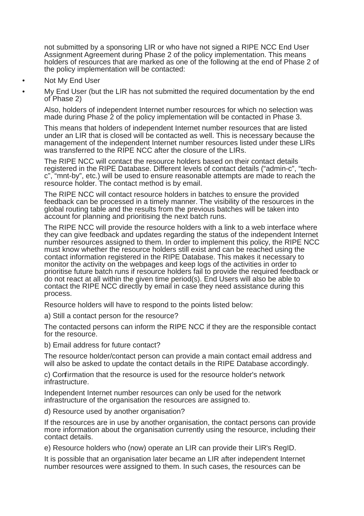not submitted by a sponsoring LIR or who have not signed a RIPE NCC End User Assignment Agreement during Phase 2 of the policy implementation. This means holders of resources that are marked as one of the following at the end of Phase 2 of the policy implementation will be contacted:

- Not My End User
- My End User (but the LIR has not submitted the required documentation by the end of Phase 2)

Also, holders of independent Internet number resources for which no selection was made during Phase 2 of the policy implementation will be contacted in Phase 3.

This means that holders of independent Internet number resources that are listed under an LIR that is closed will be contacted as well. This is necessary because the management of the independent Internet number resources listed under these LIRs was transferred to the RIPE NCC after the closure of the LIRs.

The RIPE NCC will contact the resource holders based on their contact details registered in the RIPE Database. Different levels of contact details ("admin-c", "techc", "mnt-by", etc.) will be used to ensure reasonable attempts are made to reach the resource holder. The contact method is by email.

The RIPE NCC will contact resource holders in batches to ensure the provided feedback can be processed in a timely manner. The visibility of the resources in the global routing table and the results from the previous batches will be taken into account for planning and prioritising the next batch runs.

The RIPE NCC will provide the resource holders with a link to a web interface where they can give feedback and updates regarding the status of the independent Internet number resources assigned to them. In order to implement this policy, the RIPE NCC must know whether the resource holders still exist and can be reached using the contact information registered in the RIPE Database. This makes it necessary to monitor the activity on the webpages and keep logs of the activities in order to prioritise future batch runs if resource holders fail to provide the required feedback or do not react at all within the given time period(s). End Users will also be able to contact the RIPE NCC directly by email in case they need assistance during this process.

Resource holders will have to respond to the points listed below:

a) Still a contact person for the resource?

The contacted persons can inform the RIPE NCC if they are the responsible contact for the resource.

b) Email address for future contact?

The resource holder/contact person can provide a main contact email address and will also be asked to update the contact details in the RIPE Database accordingly.

c) Confirmation that the resource is used for the resource holder's network infrastructure.

Independent Internet number resources can only be used for the network infrastructure of the organisation the resources are assigned to.

d) Resource used by another organisation?

If the resources are in use by another organisation, the contact persons can provide more information about the organisation currently using the resource, including their contact details.

e) Resource holders who (now) operate an LIR can provide their LIR's RegID.

It is possible that an organisation later became an LIR after independent Internet number resources were assigned to them. In such cases, the resources can be